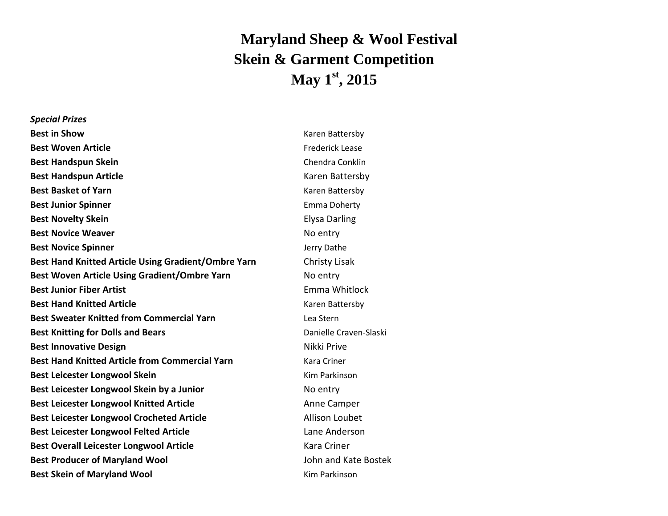## **Maryland Sheep & Wool Festival Skein & Garment Competition May 1 st , 2015**

| <b>Special Prizes</b>                                 |                  |
|-------------------------------------------------------|------------------|
| <b>Best in Show</b>                                   | Karen Bat        |
| <b>Best Woven Article</b>                             | Frederick        |
| <b>Best Handspun Skein</b>                            | Chendra          |
| <b>Best Handspun Article</b>                          | Karen Ba         |
| <b>Best Basket of Yarn</b>                            | Karen Bat        |
| <b>Best Junior Spinner</b>                            | Emma Do          |
| <b>Best Novelty Skein</b>                             | Elysa Dar        |
| <b>Best Novice Weaver</b>                             | No entry         |
| <b>Best Novice Spinner</b>                            | Jerry Datl       |
| Best Hand Knitted Article Using Gradient/Ombre Yarn   | Christy L        |
| <b>Best Woven Article Using Gradient/Ombre Yarn</b>   | No entry         |
| <b>Best Junior Fiber Artist</b>                       | Emma W           |
| <b>Best Hand Knitted Article</b>                      | Karen Bat        |
| <b>Best Sweater Knitted from Commercial Yarn</b>      | Lea Stern        |
| <b>Best Knitting for Dolls and Bears</b>              | Danielle 0       |
| <b>Best Innovative Design</b>                         | Nikki Priv       |
| <b>Best Hand Knitted Article from Commercial Yarn</b> | Kara Crin        |
| <b>Best Leicester Longwool Skein</b>                  | <b>Kim Parki</b> |
| Best Leicester Longwool Skein by a Junior             | No entry         |
| <b>Best Leicester Longwool Knitted Article</b>        | Anne Car         |
| <b>Best Leicester Longwool Crocheted Article</b>      | Allison L        |
| <b>Best Leicester Longwool Felted Article</b>         | Lane And         |
| <b>Best Overall Leicester Longwool Article</b>        | Kara Crir        |
| <b>Best Producer of Maryland Wool</b>                 | John and         |
| <b>Best Skein of Maryland Wool</b>                    | <b>Kim Parki</b> |

**Karen Battersby Frederick Lease Chendra Conklin Karen Battersby Karen Battersby Emma Doherty Elysa Darling Bo** entry **Jerry Dathe Christy Lisak Bo** entry **Emma Whitlock Karen Battersby Best Knitting for Dolls and Bears** Danielle Craven-Slaski **Nikki Prive Kara Criner Kim Parkinson Bo** entry **Anne Camper Allison Loubet Lane Anderson Kara Criner Best Producer of Maryland Wool** John and Kate Bostek **Kim Parkinson**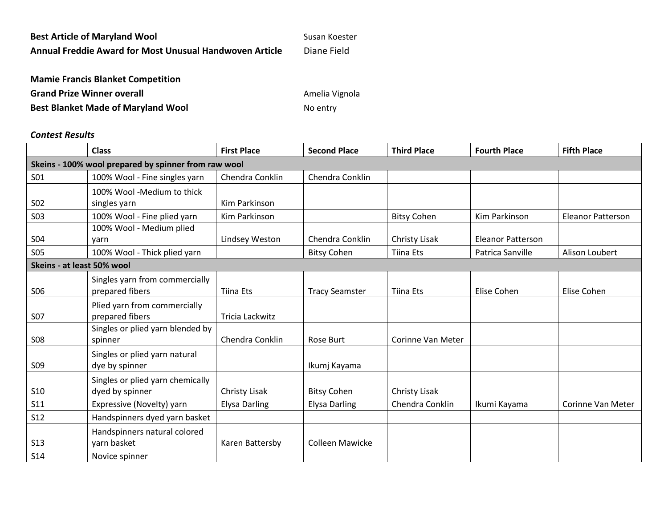| <b>Best Article of Maryland Wool</b>                    | Susan Koester |
|---------------------------------------------------------|---------------|
| Annual Freddie Award for Most Unusual Handwoven Article | Diane Field   |

| <b>Mamie Francis Blanket Competition</b>  |                |
|-------------------------------------------|----------------|
| <b>Grand Prize Winner overall</b>         | Amelia Vignola |
| <b>Best Blanket Made of Maryland Wool</b> | No entry       |

## *Contest Results*

|                                                      | <b>Class</b>                     | <b>First Place</b>   | <b>Second Place</b>    | <b>Third Place</b> | <b>Fourth Place</b>      | <b>Fifth Place</b>       |  |
|------------------------------------------------------|----------------------------------|----------------------|------------------------|--------------------|--------------------------|--------------------------|--|
| Skeins - 100% wool prepared by spinner from raw wool |                                  |                      |                        |                    |                          |                          |  |
| S <sub>01</sub>                                      | 100% Wool - Fine singles yarn    | Chendra Conklin      | Chendra Conklin        |                    |                          |                          |  |
|                                                      | 100% Wool -Medium to thick       |                      |                        |                    |                          |                          |  |
| S <sub>0</sub> 2                                     | singles yarn                     | Kim Parkinson        |                        |                    |                          |                          |  |
| <b>S03</b>                                           | 100% Wool - Fine plied yarn      | Kim Parkinson        |                        | <b>Bitsy Cohen</b> | Kim Parkinson            | <b>Eleanor Patterson</b> |  |
|                                                      | 100% Wool - Medium plied         |                      |                        |                    |                          |                          |  |
| <b>S04</b>                                           | yarn                             | Lindsey Weston       | Chendra Conklin        | Christy Lisak      | <b>Eleanor Patterson</b> |                          |  |
| <b>S05</b>                                           | 100% Wool - Thick plied yarn     |                      | <b>Bitsy Cohen</b>     | <b>Tiina Ets</b>   | Patrica Sanville         | Alison Loubert           |  |
| Skeins - at least 50% wool                           |                                  |                      |                        |                    |                          |                          |  |
|                                                      | Singles yarn from commercially   |                      |                        |                    |                          |                          |  |
| <b>SO6</b>                                           | prepared fibers                  | <b>Tiina Ets</b>     | <b>Tracy Seamster</b>  | <b>Tiina Ets</b>   | Elise Cohen              | Elise Cohen              |  |
|                                                      | Plied yarn from commercially     |                      |                        |                    |                          |                          |  |
| <b>S07</b>                                           | prepared fibers                  | Tricia Lackwitz      |                        |                    |                          |                          |  |
|                                                      | Singles or plied yarn blended by |                      |                        |                    |                          |                          |  |
| <b>S08</b>                                           | spinner                          | Chendra Conklin      | Rose Burt              | Corinne Van Meter  |                          |                          |  |
|                                                      | Singles or plied yarn natural    |                      |                        |                    |                          |                          |  |
| S <sub>09</sub>                                      | dye by spinner                   |                      | Ikumj Kayama           |                    |                          |                          |  |
|                                                      | Singles or plied yarn chemically |                      |                        |                    |                          |                          |  |
| <b>S10</b>                                           | dyed by spinner                  | Christy Lisak        | <b>Bitsy Cohen</b>     | Christy Lisak      |                          |                          |  |
| S11                                                  | Expressive (Novelty) yarn        | <b>Elysa Darling</b> | <b>Elysa Darling</b>   | Chendra Conklin    | Ikumi Kayama             | Corinne Van Meter        |  |
| <b>S12</b>                                           | Handspinners dyed yarn basket    |                      |                        |                    |                          |                          |  |
|                                                      | Handspinners natural colored     |                      |                        |                    |                          |                          |  |
| <b>S13</b>                                           | yarn basket                      | Karen Battersby      | <b>Colleen Mawicke</b> |                    |                          |                          |  |
| <b>S14</b>                                           | Novice spinner                   |                      |                        |                    |                          |                          |  |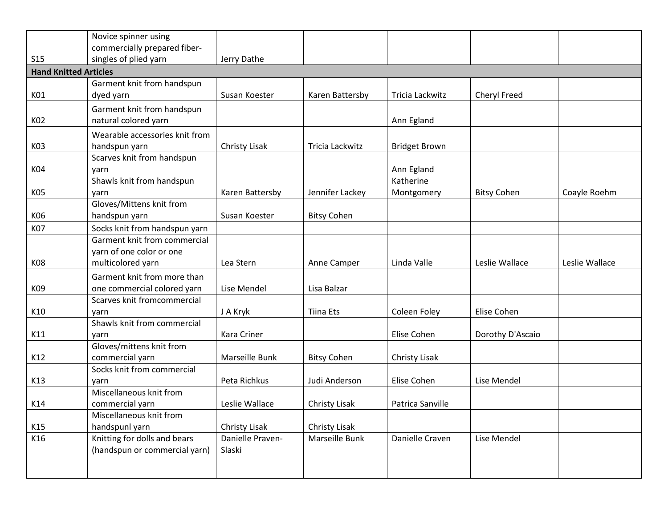|                              | Novice spinner using                                                          |                            |                    |                      |                    |                |
|------------------------------|-------------------------------------------------------------------------------|----------------------------|--------------------|----------------------|--------------------|----------------|
|                              | commercially prepared fiber-                                                  |                            |                    |                      |                    |                |
| S <sub>15</sub>              | singles of plied yarn                                                         | Jerry Dathe                |                    |                      |                    |                |
| <b>Hand Knitted Articles</b> |                                                                               |                            |                    |                      |                    |                |
|                              | Garment knit from handspun                                                    |                            |                    |                      |                    |                |
| K01                          | dyed yarn                                                                     | Susan Koester              | Karen Battersby    | Tricia Lackwitz      | Cheryl Freed       |                |
| K02                          | Garment knit from handspun<br>natural colored yarn                            |                            |                    | Ann Egland           |                    |                |
|                              | Wearable accessories knit from                                                |                            |                    |                      |                    |                |
| K03                          | handspun yarn                                                                 | Christy Lisak              | Tricia Lackwitz    | <b>Bridget Brown</b> |                    |                |
|                              | Scarves knit from handspun                                                    |                            |                    |                      |                    |                |
| K04                          | yarn                                                                          |                            |                    | Ann Egland           |                    |                |
|                              | Shawls knit from handspun                                                     |                            |                    | Katherine            |                    |                |
| K05                          | yarn                                                                          | Karen Battersby            | Jennifer Lackey    | Montgomery           | <b>Bitsy Cohen</b> | Coayle Roehm   |
| K06                          | Gloves/Mittens knit from<br>handspun yarn                                     | Susan Koester              | <b>Bitsy Cohen</b> |                      |                    |                |
| <b>K07</b>                   | Socks knit from handspun yarn                                                 |                            |                    |                      |                    |                |
| <b>K08</b>                   | Garment knit from commercial<br>yarn of one color or one<br>multicolored yarn | Lea Stern                  | Anne Camper        | Linda Valle          | Leslie Wallace     | Leslie Wallace |
|                              | Garment knit from more than                                                   |                            |                    |                      |                    |                |
| K09                          | one commercial colored yarn                                                   | Lise Mendel                | Lisa Balzar        |                      |                    |                |
|                              | Scarves knit fromcommercial                                                   |                            |                    |                      |                    |                |
| K10                          | yarn                                                                          | J A Kryk                   | <b>Tiina Ets</b>   | Coleen Foley         | Elise Cohen        |                |
|                              | Shawls knit from commercial                                                   |                            |                    |                      |                    |                |
| K11                          | yarn                                                                          | Kara Criner                |                    | Elise Cohen          | Dorothy D'Ascaio   |                |
|                              | Gloves/mittens knit from                                                      |                            |                    |                      |                    |                |
| K12                          | commercial yarn                                                               | Marseille Bunk             | <b>Bitsy Cohen</b> | Christy Lisak        |                    |                |
|                              | Socks knit from commercial                                                    |                            |                    |                      |                    |                |
| K13                          | yarn                                                                          | Peta Richkus               | Judi Anderson      | Elise Cohen          | Lise Mendel        |                |
|                              | Miscellaneous knit from                                                       |                            |                    |                      |                    |                |
| K14                          | commercial yarn                                                               | Leslie Wallace             | Christy Lisak      | Patrica Sanville     |                    |                |
|                              | Miscellaneous knit from                                                       |                            |                    |                      |                    |                |
| K15                          | handspunl yarn                                                                | Christy Lisak              | Christy Lisak      |                      |                    |                |
| K16                          | Knitting for dolls and bears<br>(handspun or commercial yarn)                 | Danielle Praven-<br>Slaski | Marseille Bunk     | Danielle Craven      | Lise Mendel        |                |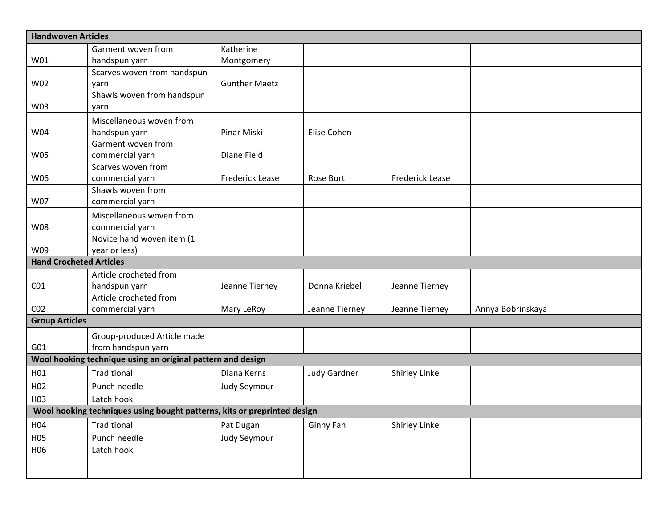| <b>Handwoven Articles</b>                                                |                                                             |                        |                     |                        |                   |  |
|--------------------------------------------------------------------------|-------------------------------------------------------------|------------------------|---------------------|------------------------|-------------------|--|
|                                                                          | Garment woven from                                          | Katherine              |                     |                        |                   |  |
| W01                                                                      | handspun yarn                                               | Montgomery             |                     |                        |                   |  |
|                                                                          | Scarves woven from handspun                                 |                        |                     |                        |                   |  |
| W02                                                                      | yarn                                                        | <b>Gunther Maetz</b>   |                     |                        |                   |  |
|                                                                          | Shawls woven from handspun                                  |                        |                     |                        |                   |  |
| W03                                                                      | yarn                                                        |                        |                     |                        |                   |  |
|                                                                          | Miscellaneous woven from                                    |                        |                     |                        |                   |  |
| W04                                                                      | handspun yarn                                               | Pinar Miski            | Elise Cohen         |                        |                   |  |
|                                                                          | Garment woven from                                          |                        |                     |                        |                   |  |
| <b>W05</b>                                                               | commercial yarn                                             | Diane Field            |                     |                        |                   |  |
|                                                                          | Scarves woven from                                          |                        |                     |                        |                   |  |
| W06                                                                      | commercial yarn                                             | <b>Frederick Lease</b> | Rose Burt           | <b>Frederick Lease</b> |                   |  |
|                                                                          | Shawls woven from                                           |                        |                     |                        |                   |  |
| W07                                                                      | commercial yarn                                             |                        |                     |                        |                   |  |
|                                                                          | Miscellaneous woven from                                    |                        |                     |                        |                   |  |
| <b>W08</b>                                                               | commercial yarn                                             |                        |                     |                        |                   |  |
|                                                                          | Novice hand woven item (1                                   |                        |                     |                        |                   |  |
| W09                                                                      | year or less)                                               |                        |                     |                        |                   |  |
| <b>Hand Crocheted Articles</b>                                           |                                                             |                        |                     |                        |                   |  |
|                                                                          | Article crocheted from                                      |                        |                     |                        |                   |  |
| CO <sub>1</sub>                                                          | handspun yarn                                               | Jeanne Tierney         | Donna Kriebel       | Jeanne Tierney         |                   |  |
|                                                                          | Article crocheted from                                      |                        |                     |                        |                   |  |
| CO <sub>2</sub>                                                          | commercial yarn                                             | Mary LeRoy             | Jeanne Tierney      | Jeanne Tierney         | Annya Bobrinskaya |  |
| <b>Group Articles</b>                                                    |                                                             |                        |                     |                        |                   |  |
|                                                                          | Group-produced Article made                                 |                        |                     |                        |                   |  |
| G01                                                                      | from handspun yarn                                          |                        |                     |                        |                   |  |
|                                                                          | Wool hooking technique using an original pattern and design |                        |                     |                        |                   |  |
| H01                                                                      | Traditional                                                 | Diana Kerns            | <b>Judy Gardner</b> | Shirley Linke          |                   |  |
| H <sub>02</sub>                                                          | Punch needle                                                | <b>Judy Seymour</b>    |                     |                        |                   |  |
| H <sub>03</sub>                                                          | Latch hook                                                  |                        |                     |                        |                   |  |
| Wool hooking techniques using bought patterns, kits or preprinted design |                                                             |                        |                     |                        |                   |  |
| H04                                                                      | Traditional                                                 | Pat Dugan              | Ginny Fan           | Shirley Linke          |                   |  |
| H05                                                                      | Punch needle                                                | Judy Seymour           |                     |                        |                   |  |
| H06                                                                      | Latch hook                                                  |                        |                     |                        |                   |  |
|                                                                          |                                                             |                        |                     |                        |                   |  |
|                                                                          |                                                             |                        |                     |                        |                   |  |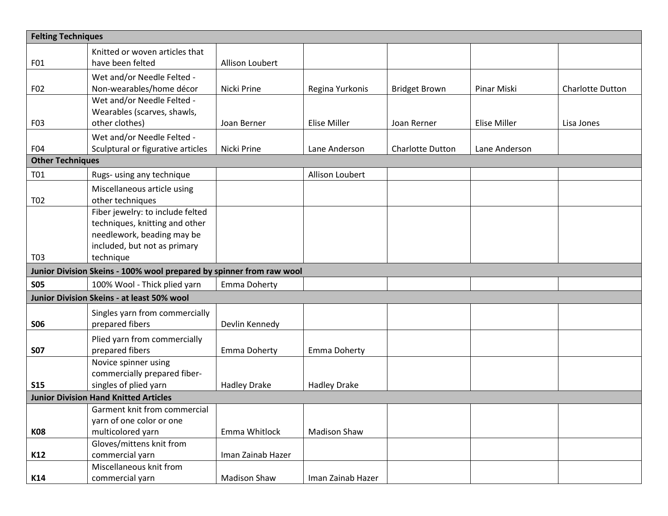| <b>Felting Techniques</b> |                                                                      |                     |                     |                         |                     |                         |
|---------------------------|----------------------------------------------------------------------|---------------------|---------------------|-------------------------|---------------------|-------------------------|
|                           | Knitted or woven articles that                                       |                     |                     |                         |                     |                         |
| F01                       | have been felted                                                     | Allison Loubert     |                     |                         |                     |                         |
|                           | Wet and/or Needle Felted -                                           |                     |                     |                         |                     |                         |
| F02                       | Non-wearables/home décor                                             | Nicki Prine         | Regina Yurkonis     | <b>Bridget Brown</b>    | Pinar Miski         | <b>Charlotte Dutton</b> |
|                           | Wet and/or Needle Felted -                                           |                     |                     |                         |                     |                         |
|                           | Wearables (scarves, shawls,                                          |                     |                     |                         |                     |                         |
| F03                       | other clothes)                                                       | Joan Berner         | Elise Miller        | Joan Rerner             | <b>Elise Miller</b> | Lisa Jones              |
|                           | Wet and/or Needle Felted -                                           |                     |                     |                         |                     |                         |
| F04                       | Sculptural or figurative articles                                    | Nicki Prine         | Lane Anderson       | <b>Charlotte Dutton</b> | Lane Anderson       |                         |
| <b>Other Techniques</b>   |                                                                      |                     |                     |                         |                     |                         |
| T01                       | Rugs- using any technique                                            |                     | Allison Loubert     |                         |                     |                         |
|                           | Miscellaneous article using                                          |                     |                     |                         |                     |                         |
| T <sub>0</sub> 2          | other techniques                                                     |                     |                     |                         |                     |                         |
|                           | Fiber jewelry: to include felted                                     |                     |                     |                         |                     |                         |
|                           | techniques, knitting and other                                       |                     |                     |                         |                     |                         |
|                           | needlework, beading may be                                           |                     |                     |                         |                     |                         |
| T <sub>0</sub> 3          | included, but not as primary<br>technique                            |                     |                     |                         |                     |                         |
|                           | Junior Division Skeins - 100% wool prepared by spinner from raw wool |                     |                     |                         |                     |                         |
|                           |                                                                      |                     |                     |                         |                     |                         |
| <b>SO5</b>                | 100% Wool - Thick plied yarn                                         | <b>Emma Doherty</b> |                     |                         |                     |                         |
|                           | Junior Division Skeins - at least 50% wool                           |                     |                     |                         |                     |                         |
|                           | Singles yarn from commercially                                       |                     |                     |                         |                     |                         |
| <b>SO6</b>                | prepared fibers                                                      | Devlin Kennedy      |                     |                         |                     |                         |
|                           | Plied yarn from commercially                                         |                     |                     |                         |                     |                         |
| <b>S07</b>                | prepared fibers                                                      | <b>Emma Doherty</b> | Emma Doherty        |                         |                     |                         |
|                           | Novice spinner using                                                 |                     |                     |                         |                     |                         |
|                           | commercially prepared fiber-                                         |                     |                     |                         |                     |                         |
| <b>S15</b>                | singles of plied yarn                                                | <b>Hadley Drake</b> | <b>Hadley Drake</b> |                         |                     |                         |
|                           | <b>Junior Division Hand Knitted Articles</b>                         |                     |                     |                         |                     |                         |
|                           | Garment knit from commercial<br>yarn of one color or one             |                     |                     |                         |                     |                         |
| <b>K08</b>                | multicolored yarn                                                    | Emma Whitlock       | <b>Madison Shaw</b> |                         |                     |                         |
|                           | Gloves/mittens knit from                                             |                     |                     |                         |                     |                         |
| K12                       | commercial yarn                                                      | Iman Zainab Hazer   |                     |                         |                     |                         |
|                           | Miscellaneous knit from                                              |                     |                     |                         |                     |                         |
| K14                       | commercial yarn                                                      | <b>Madison Shaw</b> | Iman Zainab Hazer   |                         |                     |                         |